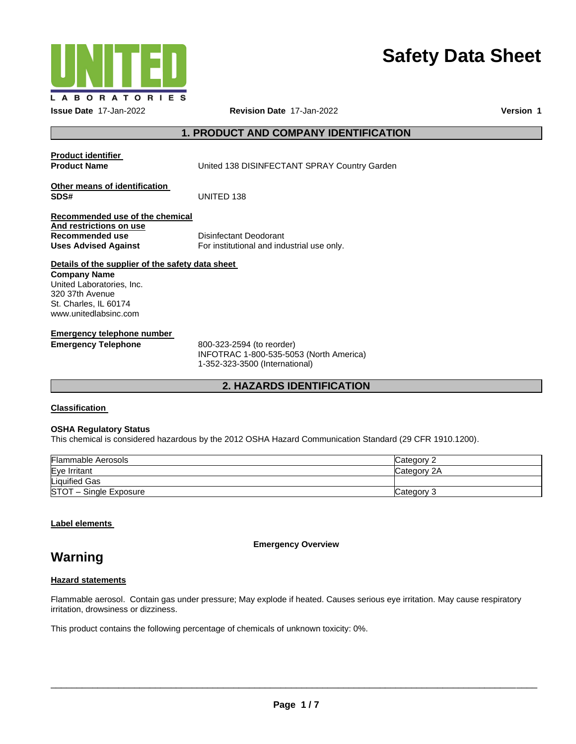

# **Safety Data Sheet**

## **1. PRODUCT AND COMPANY IDENTIFICATION**

| <b>Product identifier</b>                                                                                      |                                                                        |
|----------------------------------------------------------------------------------------------------------------|------------------------------------------------------------------------|
| <b>Product Name</b>                                                                                            | United 138 DISINFECTANT SPRAY Country Garden                           |
| Other means of identification<br>SDS#                                                                          | UNITED 138                                                             |
| Recommended use of the chemical<br>And restrictions on use<br>Recommended use<br><b>Uses Advised Against</b>   | Disinfectant Deodorant<br>For institutional and industrial use only.   |
| Details of the supplier of the safety data sheet                                                               |                                                                        |
| Company Name<br>United Laboratories, Inc.<br>320 37th Avenue<br>St. Charles, IL 60174<br>www.unitedlabsinc.com |                                                                        |
| Emergency telephone number<br><b>Emergency Telephone</b>                                                       | 800-323-2594 (to reorder)<br>$INFOTRAC$ 1-800-535-5053 (North America) |

INFOTRAC 1-800-535-5053 (North America) 1-352-323-3500 (International)

## **2. HAZARDS IDENTIFICATION**

## **Classification**

## **OSHA Regulatory Status**

This chemical is considered hazardous by the 2012 OSHA Hazard Communication Standard (29 CFR 1910.1200).

| <b>Flammable Aerosols</b> | Category 2  |
|---------------------------|-------------|
| Eye Irritant              | Category 2A |
| <b>Liquified Gas</b>      |             |
| STOT - Single Exposure    | Category 3  |

## **Label elements**

**Emergency Overview** 

## **Warning**

## **Hazard statements**

Flammable aerosol. Contain gas under pressure; May explode if heated. Causes serious eye irritation. May cause respiratory irritation, drowsiness or dizziness.

This product contains the following percentage of chemicals of unknown toxicity: 0%.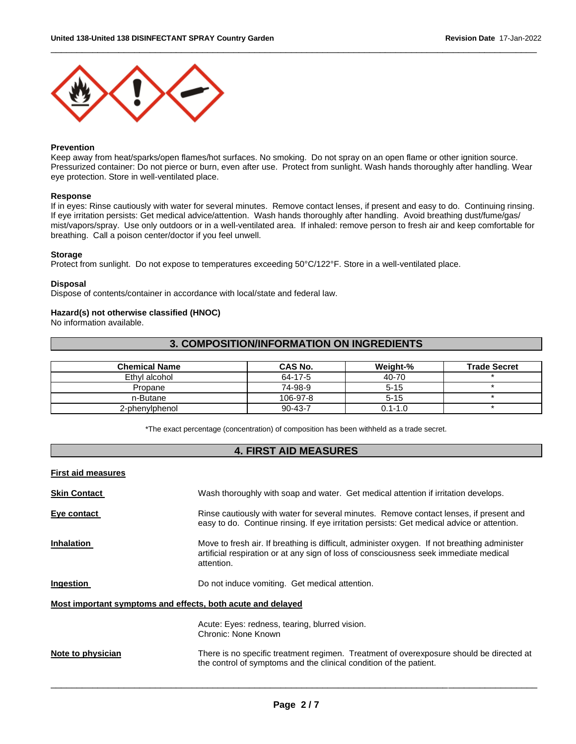

## **Prevention**

Keep away from heat/sparks/open flames/hot surfaces. No smoking. Do not spray on an open flame or other ignition source. Pressurized container: Do not pierce or burn, even after use. Protect from sunlight. Wash hands thoroughly after handling. Wear eye protection. Store in well-ventilated place.

\_\_\_\_\_\_\_\_\_\_\_\_\_\_\_\_\_\_\_\_\_\_\_\_\_\_\_\_\_\_\_\_\_\_\_\_\_\_\_\_\_\_\_\_\_\_\_\_\_\_\_\_\_\_\_\_\_\_\_\_\_\_\_\_\_\_\_\_\_\_\_\_\_\_\_\_\_\_\_\_\_\_\_\_\_\_\_\_\_\_\_\_\_

#### **Response**

If in eyes: Rinse cautiously with water for several minutes. Remove contact lenses, if present and easy to do. Continuing rinsing. If eye irritation persists: Get medical advice/attention. Wash hands thoroughly after handling. Avoid breathing dust/fume/gas/ mist/vapors/spray. Use only outdoors or in a well-ventilated area. If inhaled: remove person to fresh air and keep comfortable for breathing. Call a poison center/doctor if you feel unwell.

#### **Storage**

Protect from sunlight. Do not expose to temperatures exceeding 50°C/122°F. Store in a well-ventilated place.

## **Disposal**

Dispose of contents/container in accordance with local/state and federal law.

#### **Hazard(s) not otherwise classified (HNOC)**

No information available.

## **3. COMPOSITION/INFORMATION ON INGREDIENTS**

| <b>Chemical Name</b> | <b>CAS No.</b> | Weight-%    | <b>Trade Secret</b> |
|----------------------|----------------|-------------|---------------------|
| Ethyl alcohol        | 64-17-5        | 40-70       |                     |
| Propane              | 74-98-9        | $5 - 15$    |                     |
| n-Butane             | 106-97-8       | $5 - 15$    |                     |
| 2-phenylphenol       | $90 - 43 - 7$  | $0.1 - 1.0$ |                     |

\*The exact percentage (concentration) of composition has been withheld as a trade secret.

## **4. FIRST AID MEASURES**

| <b>First aid measures</b>                                   |                                                                                                                                                                                                     |
|-------------------------------------------------------------|-----------------------------------------------------------------------------------------------------------------------------------------------------------------------------------------------------|
| <b>Skin Contact</b>                                         | Wash thoroughly with soap and water. Get medical attention if irritation develops.                                                                                                                  |
| Eye contact                                                 | Rinse cautiously with water for several minutes. Remove contact lenses, if present and<br>easy to do. Continue rinsing. If eye irritation persists: Get medical advice or attention.                |
| <b>Inhalation</b>                                           | Move to fresh air. If breathing is difficult, administer oxygen. If not breathing administer<br>artificial respiration or at any sign of loss of consciousness seek immediate medical<br>attention. |
| Ingestion                                                   | Do not induce vomiting. Get medical attention.                                                                                                                                                      |
| Most important symptoms and effects, both acute and delayed |                                                                                                                                                                                                     |
|                                                             | Acute: Eyes: redness, tearing, blurred vision.<br>Chronic: None Known                                                                                                                               |
| Note to physician                                           | There is no specific treatment regimen. Treatment of overexposure should be directed at<br>the control of symptoms and the clinical condition of the patient.                                       |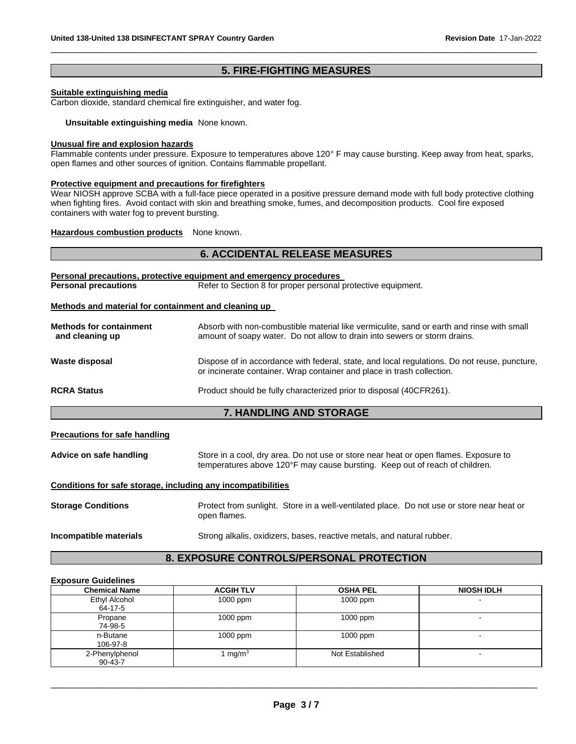## **5. FIRE-FIGHTING MEASURES**

\_\_\_\_\_\_\_\_\_\_\_\_\_\_\_\_\_\_\_\_\_\_\_\_\_\_\_\_\_\_\_\_\_\_\_\_\_\_\_\_\_\_\_\_\_\_\_\_\_\_\_\_\_\_\_\_\_\_\_\_\_\_\_\_\_\_\_\_\_\_\_\_\_\_\_\_\_\_\_\_\_\_\_\_\_\_\_\_\_\_\_\_\_

## **Suitable extinguishing media**

Carbon dioxide, standard chemical fire extinguisher, and water fog.

**Unsuitable extinguishing media** None known.

## **Unusual fire and explosion hazards**

Flammable contents under pressure. Exposure to temperatures above 120° F may cause bursting. Keep away from heat, sparks, open flames and other sources of ignition. Contains flammable propellant.

#### **Protective equipment and precautions for firefighters**

Wear NIOSH approve SCBA with a full-face piece operated in a positive pressure demand mode with full body protective clothing when fighting fires. Avoid contact with skin and breathing smoke, fumes, and decomposition products. Cool fire exposed containers with water fog to prevent bursting.

## **Hazardous combustion products** None known.

## **6. ACCIDENTAL RELEASE MEASURES**

|                                                      | <b>Personal precautions, protective equipment and emergency procedures</b>                                                                                             |
|------------------------------------------------------|------------------------------------------------------------------------------------------------------------------------------------------------------------------------|
| <b>Personal precautions</b>                          | Refer to Section 8 for proper personal protective equipment.                                                                                                           |
| Methods and material for containment and cleaning up |                                                                                                                                                                        |
| <b>Methods for containment</b><br>and cleaning up    | Absorb with non-combustible material like vermiculite, sand or earth and rinse with small<br>amount of soapy water. Do not allow to drain into sewers or storm drains. |
| Waste disposal                                       | Dispose of in accordance with federal, state, and local regulations. Do not reuse, puncture,<br>or incinerate container. Wrap container and place in trash collection. |
| <b>RCRA Status</b>                                   | Product should be fully characterized prior to disposal (40CFR261).                                                                                                    |
|                                                      | _   ._____                                                                                                                                                             |

## **7. HANDLING AND STORAGE**

## **Precautions for safe handling**

| Advice on safe handling | Store in a cool, dry area. Do not use or store near heat or open flames. Exposure to |
|-------------------------|--------------------------------------------------------------------------------------|
|                         | temperatures above 120°F may cause bursting. Keep out of reach of children.          |

## **Conditions for safe storage, including any incompatibilities**

| <b>Storage Conditions</b> |              | Protect from sunlight. Store in a well-ventilated place. Do not use or store near heat or |
|---------------------------|--------------|-------------------------------------------------------------------------------------------|
|                           | open flames. |                                                                                           |

**Incompatible materials Strong alkalis, oxidizers, bases, reactive metals, and natural rubber.** 

## **8. EXPOSURE CONTROLS/PERSONAL PROTECTION**

#### **Exposure Guidelines**

| <b>Chemical Name</b>            | <b>ACGIH TLV</b>  | <b>OSHA PEL</b> | <b>NIOSH IDLH</b>        |
|---------------------------------|-------------------|-----------------|--------------------------|
| Ethyl Alcohol<br>64-17-5        | $1000$ ppm        | 1000 ppm        |                          |
| Propane<br>74-98-5              | $1000$ ppm        | $1000$ ppm      | $\blacksquare$           |
| n-Butane<br>106-97-8            | $1000$ ppm        | 1000 ppm        |                          |
| 2-Phenylphenol<br>$90 - 43 - 7$ | mg/m <sup>3</sup> | Not Established | $\overline{\phantom{a}}$ |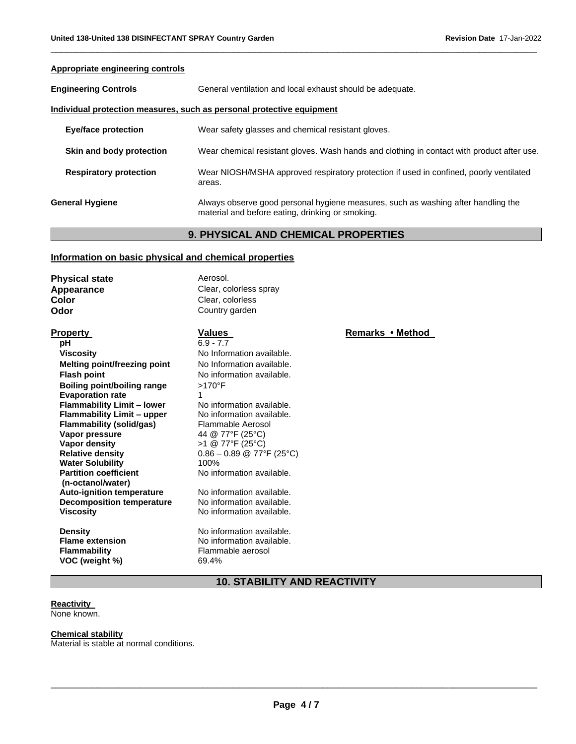# **Appropriate engineering controls Engineering Controls General ventilation and local exhaust should be adequate. Individual protection measures, such as personal protective equipment Eye/face protection** Wear safety glasses and chemical resistant gloves. **Skin and body protection** Wear chemical resistant gloves. Wash hands and clothing in contact with product after use. **Respiratory protection** Wear NIOSH/MSHA approved respiratory protection if used in confined, poorly ventilated areas. **General Hygiene** Always observe good personal hygiene measures, such as washing after handling the material and before eating, drinking or smoking.

\_\_\_\_\_\_\_\_\_\_\_\_\_\_\_\_\_\_\_\_\_\_\_\_\_\_\_\_\_\_\_\_\_\_\_\_\_\_\_\_\_\_\_\_\_\_\_\_\_\_\_\_\_\_\_\_\_\_\_\_\_\_\_\_\_\_\_\_\_\_\_\_\_\_\_\_\_\_\_\_\_\_\_\_\_\_\_\_\_\_\_\_\_

## **9. PHYSICAL AND CHEMICAL PROPERTIES**

## **Information on basic physical and chemical properties**

**Physical state Aerosol. Appearance Clear, colorless spray Color Color Clear, colorless Odor** Country garden

**pH** 6.9 - 7.7 **Viscosity Viscosity No Information available. Melting point/freezing point** No Information available. **Flash point No information available. Boiling point/boiling range Evaporation rate Flammability Limit – lower Flammability Limit – upper Flammability (solid/gas) Vapor pressure Vapor density Relative density Water Solubility Partition coefficient (n-octanol/water) Auto-ignition temperature Decomposition temperature Viscosity**

**Density Flame extension Flammability VOC (weight %)**

## >170°F 1 No information available. No information available. Flammable Aerosol 44 @ 77°F (25°C) >1 @ 77°F (25°C)  $0.86 - 0.89 \ @ 77^{\circ}F (25^{\circ}C)$ 100% No information available.

No information available. No information available. No information available.

No information available. No information available. Flammable aerosol 69.4%

**Property Values Values Remarks • Method** 

## **10. STABILITY AND REACTIVITY**

## **Reactivity**

None known.

## **Chemical stability**

Material is stable at normal conditions.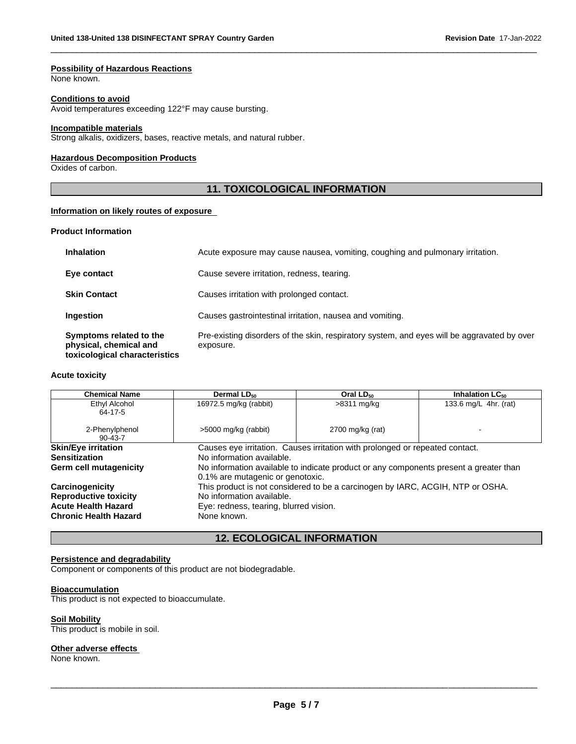## **Possibility of Hazardous Reactions**

None known.

#### **Conditions to avoid**

Avoid temperatures exceeding 122°F may cause bursting.

#### **Incompatible materials**

Strong alkalis, oxidizers, bases, reactive metals, and natural rubber.

#### **Hazardous Decomposition Products**

Oxides of carbon.

## **11. TOXICOLOGICAL INFORMATION**

\_\_\_\_\_\_\_\_\_\_\_\_\_\_\_\_\_\_\_\_\_\_\_\_\_\_\_\_\_\_\_\_\_\_\_\_\_\_\_\_\_\_\_\_\_\_\_\_\_\_\_\_\_\_\_\_\_\_\_\_\_\_\_\_\_\_\_\_\_\_\_\_\_\_\_\_\_\_\_\_\_\_\_\_\_\_\_\_\_\_\_\_\_

## **Information on likely routes of exposure**

## **Product Information**

| Symptoms related to the<br>physical, chemical and<br>toxicological characteristics | Pre-existing disorders of the skin, respiratory system, and eyes will be aggravated by over<br>exposure. |
|------------------------------------------------------------------------------------|----------------------------------------------------------------------------------------------------------|
| <b>Ingestion</b>                                                                   | Causes gastrointestinal irritation, nausea and vomiting.                                                 |
| <b>Skin Contact</b>                                                                | Causes irritation with prolonged contact.                                                                |
| Eye contact                                                                        | Cause severe irritation, redness, tearing.                                                               |
| <b>Inhalation</b>                                                                  | Acute exposure may cause nausea, vomiting, coughing and pulmonary irritation.                            |

#### **Acute toxicity**

| <b>Chemical Name</b>            | Dermal LD <sub>50</sub>                                                                                                   | Oral $LD_{50}$                                                               | Inhalation $LC_{50}$  |
|---------------------------------|---------------------------------------------------------------------------------------------------------------------------|------------------------------------------------------------------------------|-----------------------|
| Ethyl Alcohol<br>64-17-5        | 16972.5 mg/kg (rabbit)                                                                                                    | >8311 mg/kg                                                                  | 133.6 mg/L 4hr. (rat) |
| 2-Phenylphenol<br>$90 - 43 - 7$ | >5000 mg/kg (rabbit)                                                                                                      | 2700 mg/kg (rat)                                                             |                       |
| <b>Skin/Eye irritation</b>      |                                                                                                                           | Causes eye irritation. Causes irritation with prolonged or repeated contact. |                       |
| <b>Sensitization</b>            | No information available.                                                                                                 |                                                                              |                       |
| Germ cell mutagenicity          | No information available to indicate product or any components present a greater than<br>0.1% are mutagenic or genotoxic. |                                                                              |                       |
| Carcinogenicity                 | This product is not considered to be a carcinogen by IARC, ACGIH, NTP or OSHA.                                            |                                                                              |                       |
| <b>Reproductive toxicity</b>    | No information available.                                                                                                 |                                                                              |                       |
| <b>Acute Health Hazard</b>      | Eye: redness, tearing, blurred vision.                                                                                    |                                                                              |                       |
| <b>Chronic Health Hazard</b>    | None known.                                                                                                               |                                                                              |                       |

## **12. ECOLOGICAL INFORMATION**

## **Persistence and degradability**

Component or components of this product are not biodegradable.

## **Bioaccumulation**

This product is not expected to bioaccumulate.

## **Soil Mobility**

This product is mobile in soil.

## **Other adverse effects**

None known.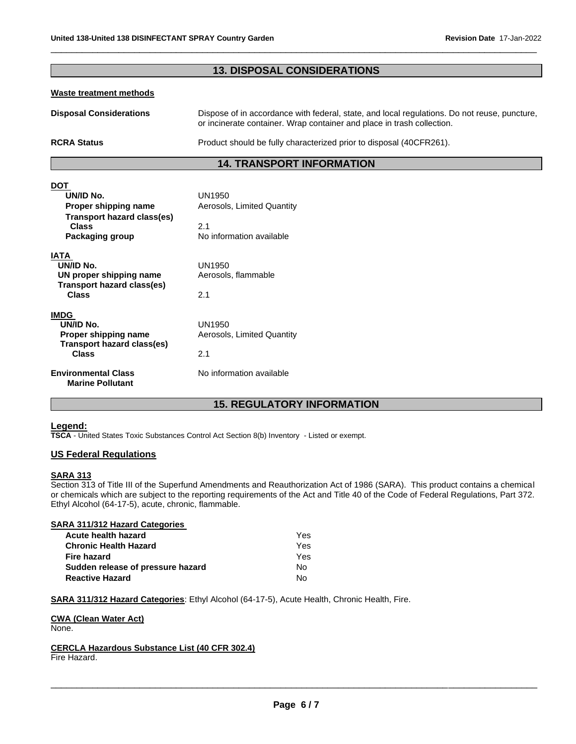#### **13. DISPOSAL CONSIDERATIONS Waste treatment methods Disposal Considerations RCRA Status** Dispose of in accordance with federal, state, and local regulations. Do not reuse, puncture, or incinerate container. Wrap container and place in trash collection. Product should be fully characterized prior to disposal (40CFR261). **14. TRANSPORT INFORMATION DOT UN/ID No.** UN1950 **Proper shipping name Aerosols, Limited Quantity Transport hazard class(es) Class Packaging group** 2.1 No information available **IATA UN/ID No. UN proper shipping name Transport hazard class(es) Class** UN1950 Aerosols, flammable 2.1 **IMDG UN/ID No. Proper shipping name Transport hazard class(es) Class Environmental Class Marine Pollutant** UN1950 Aerosols, Limited Quantity 2.1 No information available

\_\_\_\_\_\_\_\_\_\_\_\_\_\_\_\_\_\_\_\_\_\_\_\_\_\_\_\_\_\_\_\_\_\_\_\_\_\_\_\_\_\_\_\_\_\_\_\_\_\_\_\_\_\_\_\_\_\_\_\_\_\_\_\_\_\_\_\_\_\_\_\_\_\_\_\_\_\_\_\_\_\_\_\_\_\_\_\_\_\_\_\_\_

## **15. REGULATORY INFORMATION**

## **Legend:**

**TSCA** - United States Toxic Substances Control Act Section 8(b) Inventory - Listed or exempt.

## **US Federal Regulations**

## **SARA 313**

Section 313 of Title III of the Superfund Amendments and Reauthorization Act of 1986 (SARA). This product contains a chemical or chemicals which are subject to the reporting requirements of the Act and Title 40 of the Code of Federal Regulations, Part 372. Ethyl Alcohol (64-17-5), acute, chronic, flammable.

| <b>SARA 311/312 Hazard Categories</b> |     |
|---------------------------------------|-----|
| Acute health hazard                   | Yes |
| <b>Chronic Health Hazard</b>          | Yes |
| Fire hazard                           | Yes |
| Sudden release of pressure hazard     | N٥  |
| <b>Reactive Hazard</b>                | N۵  |

**SARA 311/312 Hazard Categories**: Ethyl Alcohol (64-17-5), Acute Health, Chronic Health, Fire.

## **CWA (Clean Water Act)**

None.

## **CERCLA Hazardous Substance List (40 CFR 302.4)**

Fire Hazard.